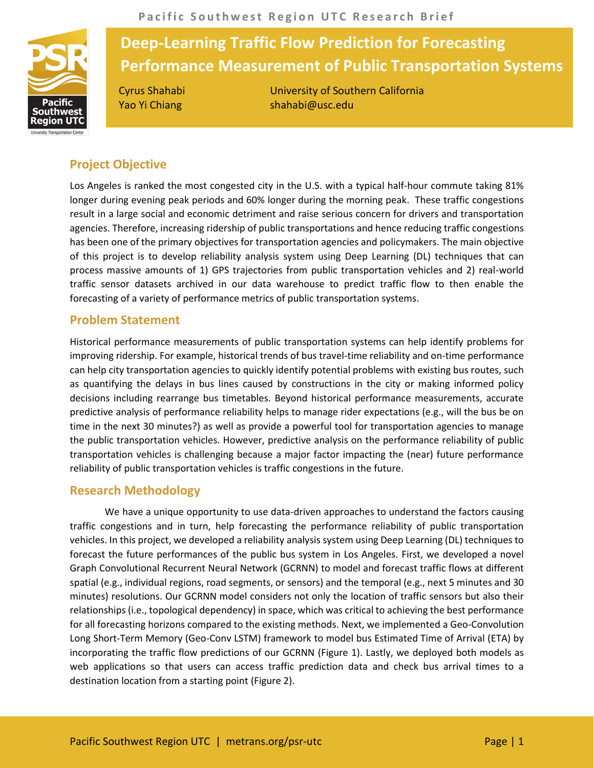

# **Deep-Learning Traffic Flow Prediction for Forecasting Performance Measurement of Public Transportation Systems**

Cyrus Shahabi University of Southern California Yao Yi Chiang shahabi@usc.edu

## **Project Objective**

Los Angeles is ranked the most congested city in the U.S. with a typical half-hour commute taking 81% longer during evening peak periods and 60% longer during the morning peak. These traffic congestions result in a large social and economic detriment and raise serious concern for drivers and transportation agencies. Therefore, increasing ridership of public transportations and hence reducing traffic congestions has been one of the primary objectives for transportation agencies and policymakers. The main objective of this project is to develop reliability analysis system using Deep Learning (DL) techniques that can process massive amounts of 1) GPS trajectories from public transportation vehicles and 2) real-world traffic sensor datasets archived in our data warehouse to predict traffic flow to then enable the forecasting of a variety of performance metrics of public transportation systems.

## **Problem Statement**

Historical performance measurements of public transportation systems can help identify problems for improving ridership. For example, historical trends of bus travel-time reliability and on-time performance can help city transportation agencies to quickly identify potential problems with existing bus routes, such as quantifying the delays in bus lines caused by constructions in the city or making informed policy decisions including rearrange bus timetables. Beyond historical performance measurements, accurate predictive analysis of performance reliability helps to manage rider expectations (e.g., will the bus be on time in the next 30 minutes?) as well as provide a powerful tool for transportation agencies to manage the public transportation vehicles. However, predictive analysis on the performance reliability of public transportation vehicles is challenging because a major factor impacting the (near) future performance reliability of public transportation vehicles is traffic congestions in the future.

## **Research Methodology**

We have a unique opportunity to use data-driven approaches to understand the factors causing traffic congestions and in turn, help forecasting the performance reliability of public transportation vehicles. In this project, we developed a reliability analysis system using Deep Learning (DL) techniques to forecast the future performances of the public bus system in Los Angeles. First, we developed a novel Graph Convolutional Recurrent Neural Network (GCRNN) to model and forecast traffic flows at different spatial (e.g., individual regions, road segments, or sensors) and the temporal (e.g., next 5 minutes and 30 minutes) resolutions. Our GCRNN model considers not only the location of traffic sensors but also their relationships (i.e., topological dependency) in space, which was critical to achieving the best performance for all forecasting horizons compared to the existing methods. Next, we implemented a Geo-Convolution Long Short-Term Memory (Geo-Conv LSTM) framework to model bus Estimated Time of Arrival (ETA) by incorporating the traffic flow predictions of our GCRNN (Figure 1). Lastly, we deployed both models as web applications so that users can access traffic prediction data and check bus arrival times to a destination location from a starting point (Figure 2).